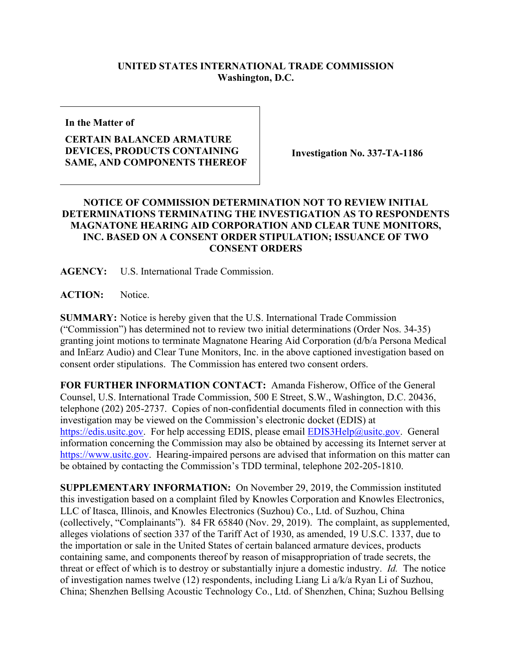## **UNITED STATES INTERNATIONAL TRADE COMMISSION Washington, D.C.**

**In the Matter of**

## **CERTAIN BALANCED ARMATURE DEVICES, PRODUCTS CONTAINING SAME, AND COMPONENTS THEREOF**

**Investigation No. 337-TA-1186**

## **NOTICE OF COMMISSION DETERMINATION NOT TO REVIEW INITIAL DETERMINATIONS TERMINATING THE INVESTIGATION AS TO RESPONDENTS MAGNATONE HEARING AID CORPORATION AND CLEAR TUNE MONITORS, INC. BASED ON A CONSENT ORDER STIPULATION; ISSUANCE OF TWO CONSENT ORDERS**

**AGENCY:** U.S. International Trade Commission.

**ACTION:** Notice.

**SUMMARY:** Notice is hereby given that the U.S. International Trade Commission ("Commission") has determined not to review two initial determinations (Order Nos. 34-35) granting joint motions to terminate Magnatone Hearing Aid Corporation (d/b/a Persona Medical and InEarz Audio) and Clear Tune Monitors, Inc. in the above captioned investigation based on consent order stipulations. The Commission has entered two consent orders.

**FOR FURTHER INFORMATION CONTACT:** Amanda Fisherow, Office of the General Counsel, U.S. International Trade Commission, 500 E Street, S.W., Washington, D.C. 20436, telephone (202) 205-2737. Copies of non-confidential documents filed in connection with this investigation may be viewed on the Commission's electronic docket (EDIS) at [https://edis.usitc.gov.](https://edis.usitc.gov/) For help accessing EDIS, please email **EDIS3Help@usitc.gov**. General information concerning the Commission may also be obtained by accessing its Internet server at [https://www.usitc.gov.](https://www.usitc.gov/) Hearing-impaired persons are advised that information on this matter can be obtained by contacting the Commission's TDD terminal, telephone 202-205-1810.

**SUPPLEMENTARY INFORMATION:** On November 29, 2019, the Commission instituted this investigation based on a complaint filed by Knowles Corporation and Knowles Electronics, LLC of Itasca, Illinois, and Knowles Electronics (Suzhou) Co., Ltd. of Suzhou, China (collectively, "Complainants"). 84 FR 65840 (Nov. 29, 2019). The complaint, as supplemented, alleges violations of section 337 of the Tariff Act of 1930, as amended, 19 U.S.C. 1337, due to the importation or sale in the United States of certain balanced armature devices, products containing same, and components thereof by reason of misappropriation of trade secrets, the threat or effect of which is to destroy or substantially injure a domestic industry. *Id.* The notice of investigation names twelve (12) respondents, including Liang Li a/k/a Ryan Li of Suzhou, China; Shenzhen Bellsing Acoustic Technology Co., Ltd. of Shenzhen, China; Suzhou Bellsing